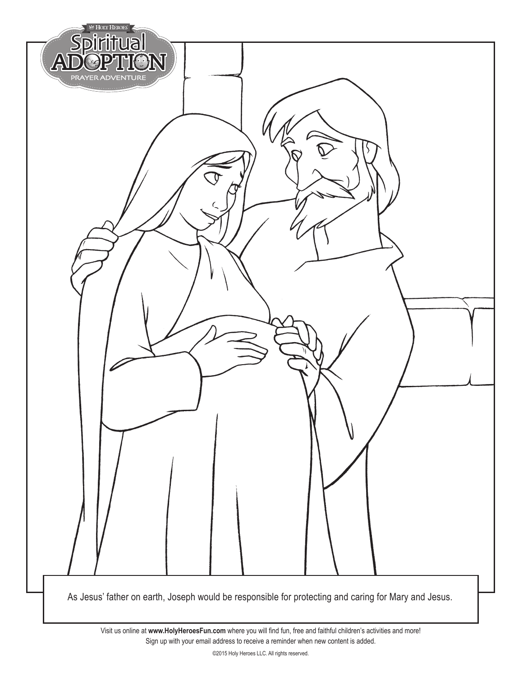

Visit us online at **www.HolyHeroesFun.com** where you will find fun, free and faithful children's activities and more! Sign up with your email address to receive a reminder when new content is added.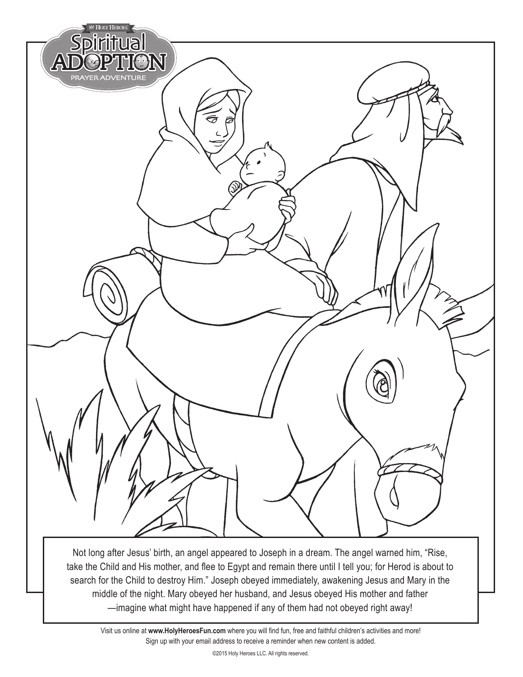

take the Child and His mother, and flee to Egypt and remain there until I tell you; for Herod is about to search for the Child to destroy Him." Joseph obeyed immediately, awakening Jesus and Mary in the middle of the night. Mary obeyed her husband, and Jesus obeyed His mother and father —imagine what might have happened if any of them had not obeyed right away!

Visit us online at **www.HolyHeroesFun.com** where you will find fun, free and faithful children's activities and more! Sign up with your email address to receive a reminder when new content is added.